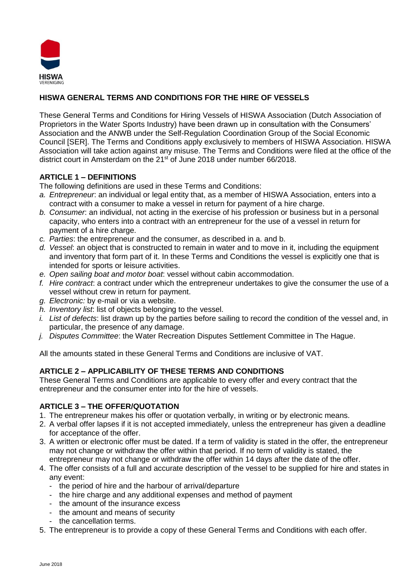

# **HISWA GENERAL TERMS AND CONDITIONS FOR THE HIRE OF VESSELS**

These General Terms and Conditions for Hiring Vessels of HISWA Association (Dutch Association of Proprietors in the Water Sports Industry) have been drawn up in consultation with the Consumers' Association and the ANWB under the Self-Regulation Coordination Group of the Social Economic Council [SER]. The Terms and Conditions apply exclusively to members of HISWA Association. HISWA Association will take action against any misuse. The Terms and Conditions were filed at the office of the district court in Amsterdam on the 21<sup>st</sup> of June 2018 under number 66/2018.

## **ARTICLE 1 – DEFINITIONS**

The following definitions are used in these Terms and Conditions:

- *a. Entrepreneur*: an individual or legal entity that, as a member of HISWA Association, enters into a contract with a consumer to make a vessel in return for payment of a hire charge.
- *b. Consumer*: an individual, not acting in the exercise of his profession or business but in a personal capacity, who enters into a contract with an entrepreneur for the use of a vessel in return for payment of a hire charge.
- *c. Parties*: the entrepreneur and the consumer, as described in a. and b.
- *d. Vessel*: an object that is constructed to remain in water and to move in it, including the equipment and inventory that form part of it. In these Terms and Conditions the vessel is explicitly one that is intended for sports or leisure activities.
- *e. Open sailing boat and motor boat*: vessel without cabin accommodation.
- *f. Hire contract*: a contract under which the entrepreneur undertakes to give the consumer the use of a vessel without crew in return for payment.
- *g. Electronic:* by e-mail or via a website.
- *h. Inventory list*: list of objects belonging to the vessel.
- *i. List of defects*: list drawn up by the parties before sailing to record the condition of the vessel and, in particular, the presence of any damage.
- *j. Disputes Committee*: the Water Recreation Disputes Settlement Committee in The Hague.

All the amounts stated in these General Terms and Conditions are inclusive of VAT.

## **ARTICLE 2 – APPLICABILITY OF THESE TERMS AND CONDITIONS**

These General Terms and Conditions are applicable to every offer and every contract that the entrepreneur and the consumer enter into for the hire of vessels.

### **ARTICLE 3 – THE OFFER/QUOTATION**

- 1. The entrepreneur makes his offer or quotation verbally, in writing or by electronic means.
- 2. A verbal offer lapses if it is not accepted immediately, unless the entrepreneur has given a deadline for acceptance of the offer.
- 3. A written or electronic offer must be dated. If a term of validity is stated in the offer, the entrepreneur may not change or withdraw the offer within that period. If no term of validity is stated, the entrepreneur may not change or withdraw the offer within 14 days after the date of the offer.
- 4. The offer consists of a full and accurate description of the vessel to be supplied for hire and states in any event:
	- the period of hire and the harbour of arrival/departure
	- the hire charge and any additional expenses and method of payment
	- the amount of the insurance excess
	- the amount and means of security
	- the cancellation terms.
- 5. The entrepreneur is to provide a copy of these General Terms and Conditions with each offer.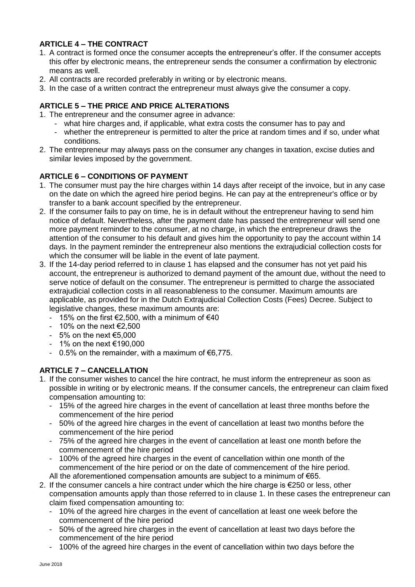## **ARTICLE 4 – THE CONTRACT**

- 1. A contract is formed once the consumer accepts the entrepreneur's offer. If the consumer accepts this offer by electronic means, the entrepreneur sends the consumer a confirmation by electronic means as well.
- 2. All contracts are recorded preferably in writing or by electronic means.
- 3. In the case of a written contract the entrepreneur must always give the consumer a copy.

## **ARTICLE 5 – THE PRICE AND PRICE ALTERATIONS**

- 1. The entrepreneur and the consumer agree in advance:
	- what hire charges and, if applicable, what extra costs the consumer has to pay and
	- whether the entrepreneur is permitted to alter the price at random times and if so, under what conditions.
- 2. The entrepreneur may always pass on the consumer any changes in taxation, excise duties and similar levies imposed by the government.

## **ARTICLE 6 – CONDITIONS OF PAYMENT**

- 1. The consumer must pay the hire charges within 14 days after receipt of the invoice, but in any case on the date on which the agreed hire period begins. He can pay at the entrepreneur's office or by transfer to a bank account specified by the entrepreneur.
- 2. If the consumer fails to pay on time, he is in default without the entrepreneur having to send him notice of default. Nevertheless, after the payment date has passed the entrepreneur will send one more payment reminder to the consumer, at no charge, in which the entrepreneur draws the attention of the consumer to his default and gives him the opportunity to pay the account within 14 days. In the payment reminder the entrepreneur also mentions the extrajudicial collection costs for which the consumer will be liable in the event of late payment.
- 3. If the 14-day period referred to in clause 1 has elapsed and the consumer has not yet paid his account, the entrepreneur is authorized to demand payment of the amount due, without the need to serve notice of default on the consumer. The entrepreneur is permitted to charge the associated extrajudicial collection costs in all reasonableness to the consumer. Maximum amounts are applicable, as provided for in the Dutch Extrajudicial Collection Costs (Fees) Decree. Subject to legislative changes, these maximum amounts are:
	- 15% on the first €2,500, with a minimum of €40
	- $-10\%$  on the next  $\text{\textsterling}2,500$
	- $-5\%$  on the next  $\epsilon$ 5,000
	- 1% on the next €190,000
	- 0.5% on the remainder, with a maximum of €6,775.

## **ARTICLE 7 – CANCELLATION**

- 1. If the consumer wishes to cancel the hire contract, he must inform the entrepreneur as soon as possible in writing or by electronic means. If the consumer cancels, the entrepreneur can claim fixed compensation amounting to:
	- 15% of the agreed hire charges in the event of cancellation at least three months before the commencement of the hire period
	- 50% of the agreed hire charges in the event of cancellation at least two months before the commencement of the hire period
	- 75% of the agreed hire charges in the event of cancellation at least one month before the commencement of the hire period
	- 100% of the agreed hire charges in the event of cancellation within one month of the commencement of the hire period or on the date of commencement of the hire period. All the aforementioned compensation amounts are subject to a minimum of €65.
- 2. If the consumer cancels a hire contract under which the hire charge is €250 or less, other compensation amounts apply than those referred to in clause 1. In these cases the entrepreneur can claim fixed compensation amounting to:
	- 10% of the agreed hire charges in the event of cancellation at least one week before the commencement of the hire period
	- 50% of the agreed hire charges in the event of cancellation at least two days before the commencement of the hire period
	- 100% of the agreed hire charges in the event of cancellation within two days before the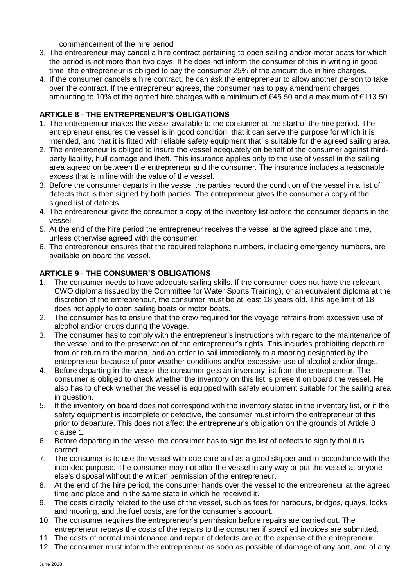commencement of the hire period

- 3. The entrepreneur may cancel a hire contract pertaining to open sailing and/or motor boats for which the period is not more than two days. If he does not inform the consumer of this in writing in good time, the entrepreneur is obliged to pay the consumer 25% of the amount due in hire charges.
- 4. If the consumer cancels a hire contract, he can ask the entrepreneur to allow another person to take over the contract. If the entrepreneur agrees, the consumer has to pay amendment charges amounting to 10% of the agreed hire charges with a minimum of €45.50 and a maximum of €113.50.

## **ARTICLE 8 - THE ENTREPRENEUR'S OBLIGATIONS**

- 1. The entrepreneur makes the vessel available to the consumer at the start of the hire period. The entrepreneur ensures the vessel is in good condition, that it can serve the purpose for which it is intended, and that it is fitted with reliable safety equipment that is suitable for the agreed sailing area.
- 2. The entrepreneur is obliged to insure the vessel adequately on behalf of the consumer against thirdparty liability, hull damage and theft. This insurance applies only to the use of vessel in the sailing area agreed on between the entrepreneur and the consumer. The insurance includes a reasonable excess that is in line with the value of the vessel.
- 3. Before the consumer departs in the vessel the parties record the condition of the vessel in a list of defects that is then signed by both parties. The entrepreneur gives the consumer a copy of the signed list of defects.
- 4. The entrepreneur gives the consumer a copy of the inventory list before the consumer departs in the vessel.
- 5. At the end of the hire period the entrepreneur receives the vessel at the agreed place and time, unless otherwise agreed with the consumer.
- 6. The entrepreneur ensures that the required telephone numbers, including emergency numbers, are available on board the vessel.

### **ARTICLE 9 - THE CONSUMER'S OBLIGATIONS**

- 1. The consumer needs to have adequate sailing skills. If the consumer does not have the relevant CWO diploma (issued by the Committee for Water Sports Training), or an equivalent diploma at the discretion of the entrepreneur, the consumer must be at least 18 years old. This age limit of 18 does not apply to open sailing boats or motor boats.
- 2. The consumer has to ensure that the crew required for the voyage refrains from excessive use of alcohol and/or drugs during the voyage.
- 3. The consumer has to comply with the entrepreneur's instructions with regard to the maintenance of the vessel and to the preservation of the entrepreneur's rights. This includes prohibiting departure from or return to the marina, and an order to sail immediately to a mooring designated by the entrepreneur because of poor weather conditions and/or excessive use of alcohol and/or drugs.
- 4. Before departing in the vessel the consumer gets an inventory list from the entrepreneur. The consumer is obliged to check whether the inventory on this list is present on board the vessel. He also has to check whether the vessel is equipped with safety equipment suitable for the sailing area in question.
- 5. If the inventory on board does not correspond with the inventory stated in the inventory list, or if the safety equipment is incomplete or defective, the consumer must inform the entrepreneur of this prior to departure. This does not affect the entrepreneur's obligation on the grounds of Article 8 clause 1.
- 6. Before departing in the vessel the consumer has to sign the list of defects to signify that it is correct.
- 7. The consumer is to use the vessel with due care and as a good skipper and in accordance with the intended purpose. The consumer may not alter the vessel in any way or put the vessel at anyone else's disposal without the written permission of the entrepreneur.
- 8. At the end of the hire period, the consumer hands over the vessel to the entrepreneur at the agreed time and place and in the same state in which he received it.
- 9. The costs directly related to the use of the vessel, such as fees for harbours, bridges, quays, locks and mooring, and the fuel costs, are for the consumer's account.
- 10. The consumer requires the entrepreneur's permission before repairs are carried out. The entrepreneur repays the costs of the repairs to the consumer if specified invoices are submitted.
- 11. The costs of normal maintenance and repair of defects are at the expense of the entrepreneur.
- 12. The consumer must inform the entrepreneur as soon as possible of damage of any sort, and of any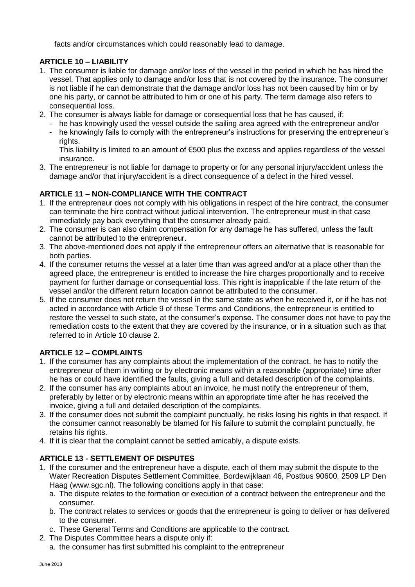facts and/or circumstances which could reasonably lead to damage.

## **ARTICLE 10 – LIABILITY**

- 1. The consumer is liable for damage and/or loss of the vessel in the period in which he has hired the vessel. That applies only to damage and/or loss that is not covered by the insurance. The consumer is not liable if he can demonstrate that the damage and/or loss has not been caused by him or by one his party, or cannot be attributed to him or one of his party. The term damage also refers to consequential loss.
- 2. The consumer is always liable for damage or consequential loss that he has caused, if:
	- he has knowingly used the vessel outside the sailing area agreed with the entrepreneur and/or
	- he knowingly fails to comply with the entrepreneur's instructions for preserving the entrepreneur's rights.

This liability is limited to an amount of €500 plus the excess and applies regardless of the vessel insurance.

3. The entrepreneur is not liable for damage to property or for any personal injury/accident unless the damage and/or that injury/accident is a direct consequence of a defect in the hired vessel.

# **ARTICLE 11 – NON-COMPLIANCE WITH THE CONTRACT**

- 1. If the entrepreneur does not comply with his obligations in respect of the hire contract, the consumer can terminate the hire contract without judicial intervention. The entrepreneur must in that case immediately pay back everything that the consumer already paid.
- 2. The consumer is can also claim compensation for any damage he has suffered, unless the fault cannot be attributed to the entrepreneur.
- 3. The above-mentioned does not apply if the entrepreneur offers an alternative that is reasonable for both parties.
- 4. If the consumer returns the vessel at a later time than was agreed and/or at a place other than the agreed place, the entrepreneur is entitled to increase the hire charges proportionally and to receive payment for further damage or consequential loss. This right is inapplicable if the late return of the vessel and/or the different return location cannot be attributed to the consumer.
- 5. If the consumer does not return the vessel in the same state as when he received it, or if he has not acted in accordance with Article 9 of these Terms and Conditions, the entrepreneur is entitled to restore the vessel to such state, at the consumer's expense. The consumer does not have to pay the remediation costs to the extent that they are covered by the insurance, or in a situation such as that referred to in Article 10 clause 2.

# **ARTICLE 12 – COMPLAINTS**

- 1. If the consumer has any complaints about the implementation of the contract, he has to notify the entrepreneur of them in writing or by electronic means within a reasonable (appropriate) time after he has or could have identified the faults, giving a full and detailed description of the complaints.
- 2. If the consumer has any complaints about an invoice, he must notify the entrepreneur of them, preferably by letter or by electronic means within an appropriate time after he has received the invoice, giving a full and detailed description of the complaints.
- 3. If the consumer does not submit the complaint punctually, he risks losing his rights in that respect. If the consumer cannot reasonably be blamed for his failure to submit the complaint punctually, he retains his rights.
- 4. If it is clear that the complaint cannot be settled amicably, a dispute exists.

# **ARTICLE 13 - SETTLEMENT OF DISPUTES**

- 1. If the consumer and the entrepreneur have a dispute, each of them may submit the dispute to the Water Recreation Disputes Settlement Committee, Bordewijklaan 46, Postbus 90600, 2509 LP Den Haag (www.sgc.nl). The following conditions apply in that case:
	- a. The dispute relates to the formation or execution of a contract between the entrepreneur and the consumer.
	- b. The contract relates to services or goods that the entrepreneur is going to deliver or has delivered to the consumer.
	- c. These General Terms and Conditions are applicable to the contract.
- 2. The Disputes Committee hears a dispute only if:
	- a. the consumer has first submitted his complaint to the entrepreneur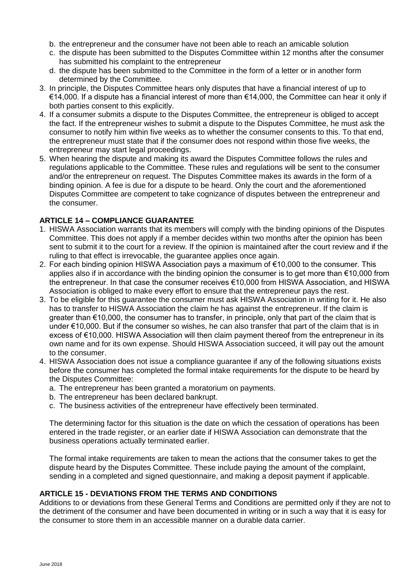- b. the entrepreneur and the consumer have not been able to reach an amicable solution
- c. the dispute has been submitted to the Disputes Committee within 12 months after the consumer has submitted his complaint to the entrepreneur
- d. the dispute has been submitted to the Committee in the form of a letter or in another form determined by the Committee.
- 3. In principle, the Disputes Committee hears only disputes that have a financial interest of up to €14,000. If a dispute has a financial interest of more than €14,000, the Committee can hear it only if both parties consent to this explicitly.
- 4. If a consumer submits a dispute to the Disputes Committee, the entrepreneur is obliged to accept the fact. If the entrepreneur wishes to submit a dispute to the Disputes Committee, he must ask the consumer to notify him within five weeks as to whether the consumer consents to this. To that end, the entrepreneur must state that if the consumer does not respond within those five weeks, the entrepreneur may start legal proceedings.
- 5. When hearing the dispute and making its award the Disputes Committee follows the rules and regulations applicable to the Committee. These rules and regulations will be sent to the consumer and/or the entrepreneur on request. The Disputes Committee makes its awards in the form of a binding opinion. A fee is due for a dispute to be heard. Only the court and the aforementioned Disputes Committee are competent to take cognizance of disputes between the entrepreneur and the consumer.

### **ARTICLE 14 – COMPLIANCE GUARANTEE**

- 1. HISWA Association warrants that its members will comply with the binding opinions of the Disputes Committee. This does not apply if a member decides within two months after the opinion has been sent to submit it to the court for a review. If the opinion is maintained after the court review and if the ruling to that effect is irrevocable, the guarantee applies once again.
- 2. For each binding opinion HISWA Association pays a maximum of €10,000 to the consumer. This applies also if in accordance with the binding opinion the consumer is to get more than €10,000 from the entrepreneur. In that case the consumer receives €10,000 from HISWA Association, and HISWA Association is obliged to make every effort to ensure that the entrepreneur pays the rest.
- 3. To be eligible for this guarantee the consumer must ask HISWA Association in writing for it. He also has to transfer to HISWA Association the claim he has against the entrepreneur. If the claim is greater than €10,000, the consumer has to transfer, in principle, only that part of the claim that is under €10,000. But if the consumer so wishes, he can also transfer that part of the claim that is in excess of €10,000. HISWA Association will then claim payment thereof from the entrepreneur in its own name and for its own expense. Should HISWA Association succeed, it will pay out the amount to the consumer.
- 4. HISWA Association does not issue a compliance guarantee if any of the following situations exists before the consumer has completed the formal intake requirements for the dispute to be heard by the Disputes Committee:
	- a. The entrepreneur has been granted a moratorium on payments.
	- b. The entrepreneur has been declared bankrupt.
	- c. The business activities of the entrepreneur have effectively been terminated.

The determining factor for this situation is the date on which the cessation of operations has been entered in the trade register, or an earlier date if HISWA Association can demonstrate that the business operations actually terminated earlier.

The formal intake requirements are taken to mean the actions that the consumer takes to get the dispute heard by the Disputes Committee. These include paying the amount of the complaint, sending in a completed and signed questionnaire, and making a deposit payment if applicable.

### **ARTICLE 15 - DEVIATIONS FROM THE TERMS AND CONDITIONS**

Additions to or deviations from these General Terms and Conditions are permitted only if they are not to the detriment of the consumer and have been documented in writing or in such a way that it is easy for the consumer to store them in an accessible manner on a durable data carrier.